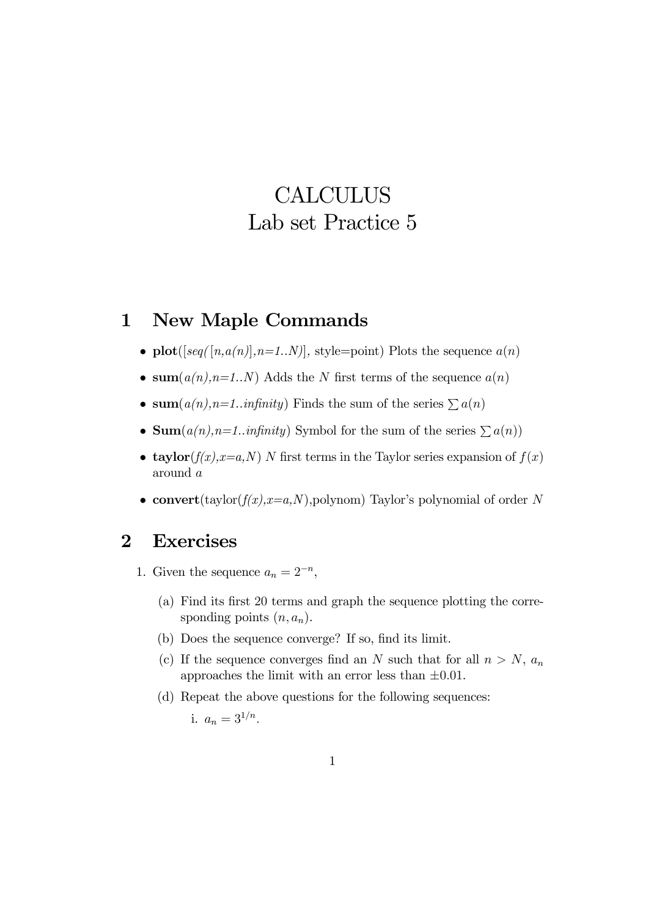## **CALCULUS** Lab set Practice 5

## 1 New Maple Commands

- plot( $[seq([n,a(n)], n=1..N)]$ , style=point) Plots the sequence  $a(n)$
- sum( $a(n)$ ,  $n=1..N$ ) Adds the N first terms of the sequence  $a(n)$
- sum $(a(n), n=1..in$ finity) Finds the sum of the series  $\sum a(n)$
- Sum $(a(n), n=1..in$ finity) Symbol for the sum of the series  $\sum a(n)$
- taylor $(f(x), x=a, N)$  N first terms in the Taylor series expansion of  $f(x)$ around a
- convert(taylor( $f(x)$ , $x=a$ ,N),polynom) Taylor's polynomial of order N

## 2 Exercises

- 1. Given the sequence  $a_n = 2^{-n}$ ,
	- (a) Find its first 20 terms and graph the sequence plotting the corresponding points  $(n, a_n)$ .
	- (b) Does the sequence converge? If so, find its limit.
	- (c) If the sequence converges find an N such that for all  $n>N$ ,  $a_n$ approaches the limit with an error less than  $\pm 0.01$ .
	- (d) Repeat the above questions for the following sequences:

i. 
$$
a_n = 3^{1/n}
$$
.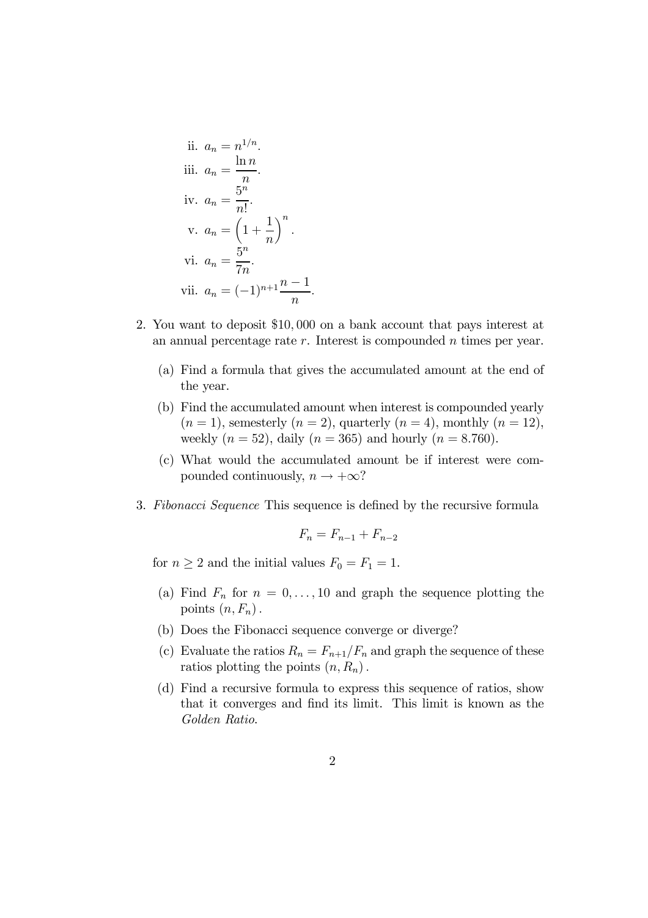ii. 
$$
a_n = n^{1/n}
$$
.  
\niii.  $a_n = \frac{\ln n}{n}$ .  
\niv.  $a_n = \frac{5^n}{n!}$ .  
\nv.  $a_n = \left(1 + \frac{1}{n}\right)^n$ .  
\nvi.  $a_n = \frac{5^n}{7n}$ .  
\nvii.  $a_n = (-1)^{n+1} \frac{n-1}{n}$ .

- 2. You want to deposit \$10, 000 on a bank account that pays interest at an annual percentage rate  $r$ . Interest is compounded  $n$  times per year.
	- (a) Find a formula that gives the accumulated amount at the end of the year.
	- (b) Find the accumulated amount when interest is compounded yearly  $(n = 1)$ , semesterly  $(n = 2)$ , quarterly  $(n = 4)$ , monthly  $(n = 12)$ , weekly  $(n = 52)$ , daily  $(n = 365)$  and hourly  $(n = 8.760)$ .
	- (c) What would the accumulated amount be if interest were compounded continuously,  $n \to +\infty$ ?
- 3. Fibonacci Sequence This sequence is defined by the recursive formula

$$
F_n = F_{n-1} + F_{n-2}
$$

for  $n \geq 2$  and the initial values  $F_0 = F_1 = 1$ .

- (a) Find  $F_n$  for  $n = 0, \ldots, 10$  and graph the sequence plotting the points  $(n, F_n)$ .
- (b) Does the Fibonacci sequence converge or diverge?
- (c) Evaluate the ratios  $R_n = F_{n+1}/F_n$  and graph the sequence of these ratios plotting the points  $(n, R_n)$ .
- (d) Find a recursive formula to express this sequence of ratios, show that it converges and find its limit. This limit is known as the Golden Ratio.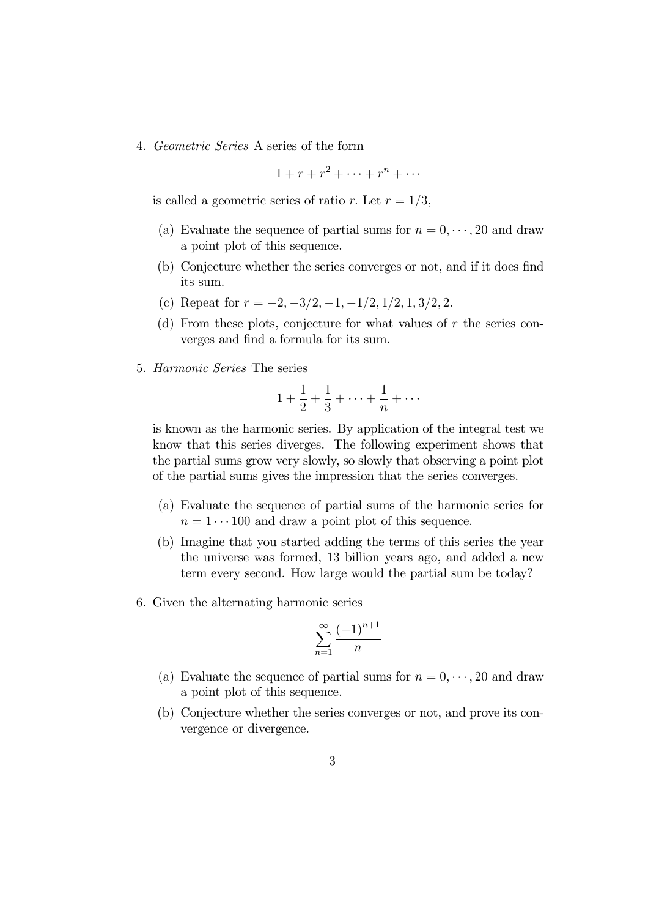4. Geometric Series A series of the form

$$
1 + r + r^2 + \dots + r^n + \dots
$$

is called a geometric series of ratio r. Let  $r = 1/3$ ,

- (a) Evaluate the sequence of partial sums for  $n = 0, \dots, 20$  and draw a point plot of this sequence.
- (b) Conjecture whether the series converges or not, and if it does find its sum.
- (c) Repeat for  $r = -2, -3/2, -1, -1/2, 1/2, 1, 3/2, 2$ .
- (d) From these plots, conjecture for what values of  $r$  the series converges and find a formula for its sum.
- 5. Harmonic Series The series

$$
1 + \frac{1}{2} + \frac{1}{3} + \dots + \frac{1}{n} + \dots
$$

is known as the harmonic series. By application of the integral test we know that this series diverges. The following experiment shows that the partial sums grow very slowly, so slowly that observing a point plot of the partial sums gives the impression that the series converges.

- (a) Evaluate the sequence of partial sums of the harmonic series for  $n = 1 \cdots 100$  and draw a point plot of this sequence.
- (b) Imagine that you started adding the terms of this series the year the universe was formed, 13 billion years ago, and added a new term every second. How large would the partial sum be today?
- 6. Given the alternating harmonic series

$$
\sum_{n=1}^{\infty} \frac{(-1)^{n+1}}{n}
$$

- (a) Evaluate the sequence of partial sums for  $n = 0, \dots, 20$  and draw a point plot of this sequence.
- (b) Conjecture whether the series converges or not, and prove its convergence or divergence.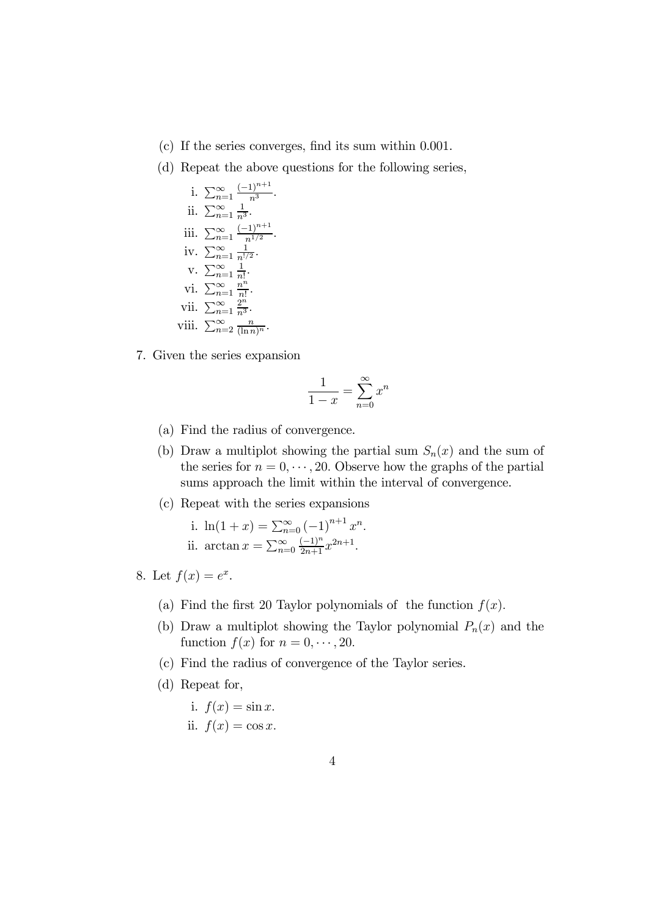- (c) If the series converges, find its sum within 0.001.
- (d) Repeat the above questions for the following series,

i. 
$$
\sum_{n=1}^{\infty} \frac{(-1)^{n+1}}{n^3}
$$
.  
\nii.  $\sum_{n=1}^{\infty} \frac{1}{n^3}$ .  
\niii.  $\sum_{n=1}^{\infty} \frac{(-1)^{n+1}}{n^{1/2}}$ .  
\niv.  $\sum_{n=1}^{\infty} \frac{1}{n^{1/2}}$ .  
\nv.  $\sum_{n=1}^{\infty} \frac{1}{n!}$ .  
\nvi.  $\sum_{n=1}^{\infty} \frac{2^n}{n^n}$ .  
\nvii.  $\sum_{n=2}^{\infty} \frac{2^n}{(ln n)^n}$ .

7. Given the series expansion

$$
\frac{1}{1-x} = \sum_{n=0}^{\infty} x^n
$$

- (a) Find the radius of convergence.
- (b) Draw a multiplot showing the partial sum  $S_n(x)$  and the sum of the series for  $n = 0, \dots, 20$ . Observe how the graphs of the partial sums approach the limit within the interval of convergence.
- (c) Repeat with the series expansions

i. 
$$
\ln(1+x) = \sum_{n=0}^{\infty} (-1)^{n+1} x^n
$$
.  
ii.  $\arctan x = \sum_{n=0}^{\infty} \frac{(-1)^n}{2n+1} x^{2n+1}$ .

- 8. Let  $f(x) = e^x$ .
	- (a) Find the first 20 Taylor polynomials of the function  $f(x)$ .
	- (b) Draw a multiplot showing the Taylor polynomial  $P_n(x)$  and the function  $f(x)$  for  $n = 0, \dots, 20$ .
	- (c) Find the radius of convergence of the Taylor series.
	- (d) Repeat for,
		- i.  $f(x) = \sin x$ . ii.  $f(x) = \cos x$ .